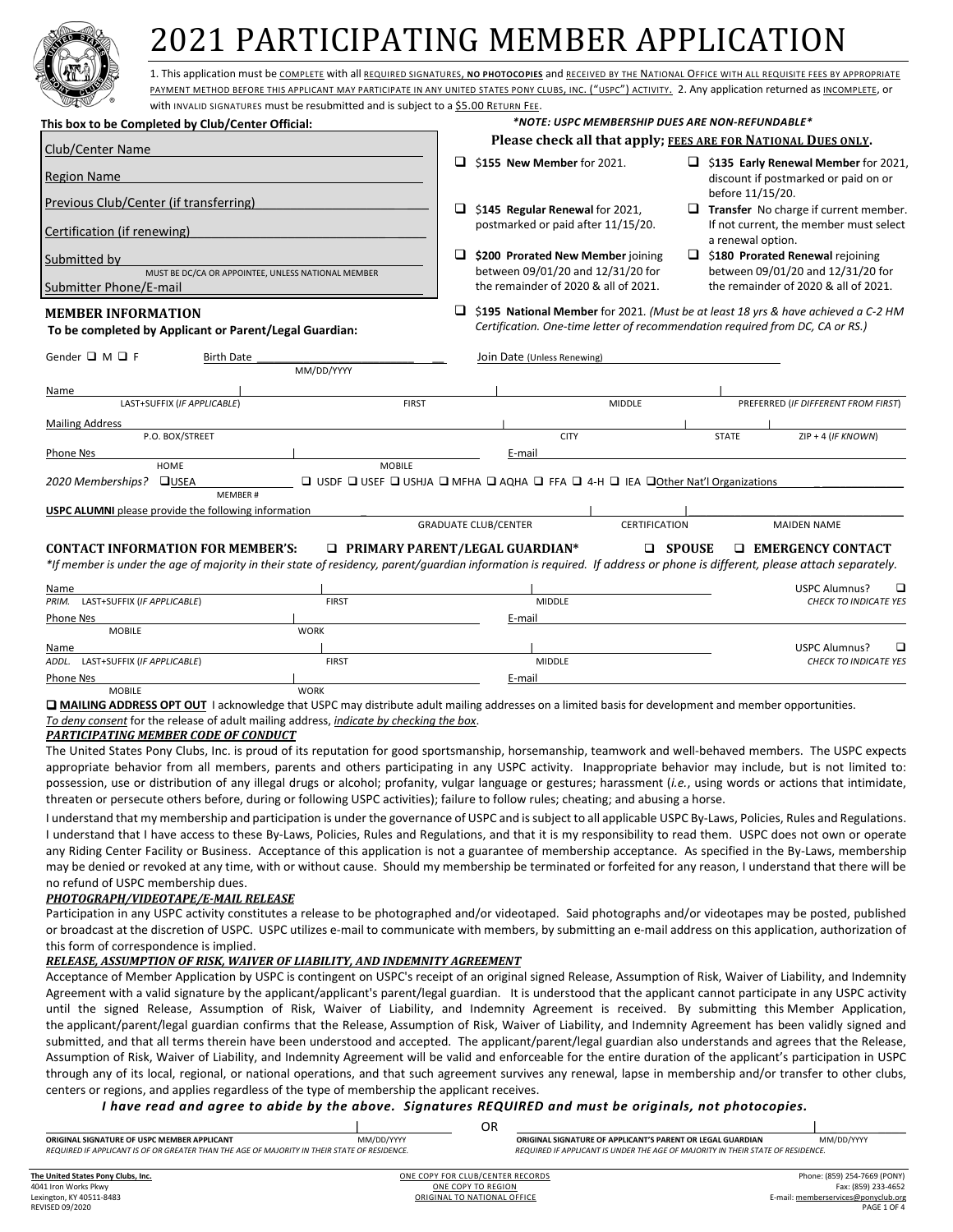

# 2021 PARTICIPATING MEMBER APPLICATION

1. This application must be COMPLETE with all REQUIRED SIGNATURES, **NO PHOTOCOPIES** and RECEIVED BY THE NATIONAL OFFICE WITH ALL REQUISITE FEES BY APPROPRIATE PAYMENT METHOD BEFORE THIS APPLICANT MAY PARTICIPATE IN ANY UNITED STATES PONY CLUBS, INC. ("USPC") ACTIVITY. 2. Any application returned as INCOMPLETE, or

| SASS                                                                                                                                                                      | with INVALID SIGNATURES must be resubmitted and is subject to a \$5.00 RETURN FEE. |                                                                           |                                                                               |                                                                                                         |              |                                                                                   |
|---------------------------------------------------------------------------------------------------------------------------------------------------------------------------|------------------------------------------------------------------------------------|---------------------------------------------------------------------------|-------------------------------------------------------------------------------|---------------------------------------------------------------------------------------------------------|--------------|-----------------------------------------------------------------------------------|
| This box to be Completed by Club/Center Official:                                                                                                                         |                                                                                    |                                                                           | *NOTE: USPC MEMBERSHIP DUES ARE NON-REFUNDABLE*                               |                                                                                                         |              |                                                                                   |
| Club/Center Name                                                                                                                                                          | Please check all that apply; FEES ARE FOR NATIONAL DUES ONLY.                      |                                                                           |                                                                               |                                                                                                         |              |                                                                                   |
| Region Name                                                                                                                                                               | $\Box$<br>\$155 New Member for 2021.                                               |                                                                           |                                                                               | $\Box$ \$135 Early Renewal Member for 2021,<br>discount if postmarked or paid on or<br>before 11/15/20. |              |                                                                                   |
| Previous Club/Center (if transferring)                                                                                                                                    | \$145 Regular Renewal for 2021,                                                    |                                                                           |                                                                               | $\Box$ Transfer No charge if current member.                                                            |              |                                                                                   |
| Certification (if renewing)                                                                                                                                               |                                                                                    | postmarked or paid after 11/15/20.                                        |                                                                               | If not current, the member must select<br>a renewal option.                                             |              |                                                                                   |
| Submitted by                                                                                                                                                              |                                                                                    |                                                                           | \$200 Prorated New Member joining                                             |                                                                                                         |              | $\Box$ \$180 Prorated Renewal rejoining                                           |
| MUST BE DC/CA OR APPOINTEE, UNLESS NATIONAL MEMBER<br>Submitter Phone/E-mail                                                                                              |                                                                                    | between 09/01/20 and 12/31/20 for<br>the remainder of 2020 & all of 2021. |                                                                               | between 09/01/20 and 12/31/20 for<br>the remainder of 2020 & all of 2021.                               |              |                                                                                   |
| <b>MEMBER INFORMATION</b><br>To be completed by Applicant or Parent/Legal Guardian:                                                                                       |                                                                                    | □                                                                         | Certification. One-time letter of recommendation required from DC, CA or RS.) |                                                                                                         |              | \$195 National Member for 2021. (Must be at least 18 yrs & have achieved a C-2 HM |
| Gender $\Box$ M $\Box$ F<br><b>Birth Date</b>                                                                                                                             | MM/DD/YYYY                                                                         | Join Date (Unless Renewing)                                               |                                                                               |                                                                                                         |              |                                                                                   |
| Name                                                                                                                                                                      |                                                                                    |                                                                           |                                                                               |                                                                                                         |              |                                                                                   |
| LAST+SUFFIX (IF APPLICABLE)                                                                                                                                               | <b>FIRST</b>                                                                       |                                                                           | <b>MIDDLE</b>                                                                 |                                                                                                         |              | PREFERRED (IF DIFFERENT FROM FIRST)                                               |
| <b>Mailing Address</b>                                                                                                                                                    |                                                                                    |                                                                           |                                                                               |                                                                                                         |              |                                                                                   |
| P.O. BOX/STREET                                                                                                                                                           |                                                                                    |                                                                           | <b>CITY</b>                                                                   |                                                                                                         | <b>STATE</b> | $ZIP + 4$ (IF KNOWN)                                                              |
| Phone Nºs                                                                                                                                                                 |                                                                                    | E-mail                                                                    |                                                                               |                                                                                                         |              |                                                                                   |
| HOME                                                                                                                                                                      | <b>MOBILE</b>                                                                      |                                                                           |                                                                               |                                                                                                         |              |                                                                                   |
| 2020 Memberships?<br><b>QUSEA</b>                                                                                                                                         | □ USDF □ USEF □ USHJA □ MFHA □ AQHA □ FFA □ 4-H □ IEA □ Other Nat'l Organizations  |                                                                           |                                                                               |                                                                                                         |              |                                                                                   |
| MEMBER#                                                                                                                                                                   |                                                                                    |                                                                           |                                                                               |                                                                                                         |              |                                                                                   |
| <b>USPC ALUMNI</b> please provide the following information                                                                                                               |                                                                                    |                                                                           |                                                                               |                                                                                                         |              |                                                                                   |
|                                                                                                                                                                           |                                                                                    | <b>GRADUATE CLUB/CENTER</b>                                               | <b>CERTIFICATION</b>                                                          |                                                                                                         |              | <b>MAIDEN NAME</b>                                                                |
| <b>CONTACT INFORMATION FOR MEMBER'S:</b>                                                                                                                                  |                                                                                    | □ PRIMARY PARENT/LEGAL GUARDIAN*                                          | □                                                                             | <b>SPOUSE</b>                                                                                           |              | <b>EMERGENCY CONTACT</b>                                                          |
| *If member is under the age of majority in their state of residency, parent/quardian information is required. If address or phone is different, please attach separately. |                                                                                    |                                                                           |                                                                               |                                                                                                         |              |                                                                                   |
| Name                                                                                                                                                                      |                                                                                    |                                                                           |                                                                               |                                                                                                         |              | <b>USPC Alumnus?</b><br>□                                                         |
| LAST+SUFFIX (IF APPLICABLE)<br>PRIM.                                                                                                                                      | <b>FIRST</b>                                                                       | <b>MIDDLE</b>                                                             |                                                                               |                                                                                                         |              | <b>CHECK TO INDICATE YES</b>                                                      |
| Phone Nos                                                                                                                                                                 |                                                                                    | E-mail                                                                    |                                                                               |                                                                                                         |              |                                                                                   |

| Phone Nos                            |              | E-mail        |                              |
|--------------------------------------|--------------|---------------|------------------------------|
| <b>MOBILE</b>                        | <b>WORK</b>  |               |                              |
| Name                                 |              |               | USPC Alumnus?                |
| ADDL.<br>LAST+SUFFIX (IF APPLICABLE) | <b>FIRST</b> | <b>MIDDLE</b> | <b>CHECK TO INDICATE YES</b> |
| Phone Nos                            |              | E-mail        |                              |

MOBILE WORK

 **MAILING ADDRESS OPT OUT** I acknowledge that USPC may distribute adult mailing addresses on a limited basis for development and member opportunities. *To deny consent* for the release of adult mailing address, *indicate by checking the box*.

## *PARTICIPATING MEMBER CODE OF CONDUCT*

The United States Pony Clubs, Inc. is proud of its reputation for good sportsmanship, horsemanship, teamwork and well-behaved members. The USPC expects appropriate behavior from all members, parents and others participating in any USPC activity. Inappropriate behavior may include, but is not limited to: possession, use or distribution of any illegal drugs or alcohol; profanity, vulgar language or gestures; harassment (*i.e.*, using words or actions that intimidate, threaten or persecute others before, during or following USPC activities); failure to follow rules; cheating; and abusing a horse.

I understand that my membership and participation is under the governance of USPC and is subject to all applicable USPC By-Laws, Policies, Rules and Regulations. I understand that I have access to these By-Laws, Policies, Rules and Regulations, and that it is my responsibility to read them. USPC does not own or operate any Riding Center Facility or Business. Acceptance of this application is not a guarantee of membership acceptance. As specified in the By-Laws, membership may be denied or revoked at any time, with or without cause. Should my membership be terminated or forfeited for any reason, I understand that there will be no refund of USPC membership dues.

## *PHOTOGRAPH/VIDEOTAPE/E-MAIL RELEASE*

Participation in any USPC activity constitutes a release to be photographed and/or videotaped. Said photographs and/or videotapes may be posted, published or broadcast at the discretion of USPC. USPC utilizes e-mail to communicate with members, by submitting an e-mail address on this application, authorization of this form of correspondence is implied.

## *RELEASE, ASSUMPTION OF RISK, WAIVER OF LIABILITY, AND INDEMNITY AGREEMENT*

Acceptance of Member Application by USPC is contingent on USPC's receipt of an original signed Release, Assumption of Risk, Waiver of Liability, and Indemnity Agreement with a valid signature by the applicant/applicant's parent/legal guardian. It is understood that the applicant cannot participate in any USPC activity until the signed Release, Assumption of Risk, Waiver of Liability, and Indemnity Agreement is received. By submitting this Member Application, the applicant/parent/legal guardian confirms that the Release, Assumption of Risk, Waiver of Liability, and Indemnity Agreement has been validly signed and submitted, and that all terms therein have been understood and accepted. The applicant/parent/legal guardian also understands and agrees that the Release, Assumption of Risk, Waiver of Liability, and Indemnity Agreement will be valid and enforceable for the entire duration of the applicant's participation in USPC through any of its local, regional, or national operations, and that such agreement survives any renewal, lapse in membership and/or transfer to other clubs, centers or regions, and applies regardless of the type of membership the applicant receives.

*I have read and agree to abide by the above. Signatures REQUIRED and must be originals, not photocopies.*

|                                                                                              |            | OR                               |                                                                                 |  |  |  |
|----------------------------------------------------------------------------------------------|------------|----------------------------------|---------------------------------------------------------------------------------|--|--|--|
| ORIGINAL SIGNATURE OF USPC MEMBER APPLICANT                                                  | MM/DD/YYYY |                                  | MM/DD/YYYY<br>ORIGINAL SIGNATURE OF APPLICANT'S PARENT OR LEGAL GUARDIAN        |  |  |  |
| REQUIRED IF APPLICANT IS OF OR GREATER THAN THE AGE OF MAJORITY IN THEIR STATE OF RESIDENCE. |            |                                  | REQUIRED IF APPLICANT IS UNDER THE AGE OF MAJORITY IN THEIR STATE OF RESIDENCE. |  |  |  |
|                                                                                              |            |                                  |                                                                                 |  |  |  |
| The United States Pony Clubs, Inc.                                                           |            | ONE COPY FOR CLUB/CENTER RECORDS | Phone: (859) 254-7669 (PONY)                                                    |  |  |  |
| 4041 Iron Works Pkwy                                                                         |            | ONE COPY TO REGION               | Fax: (859) 233-4652                                                             |  |  |  |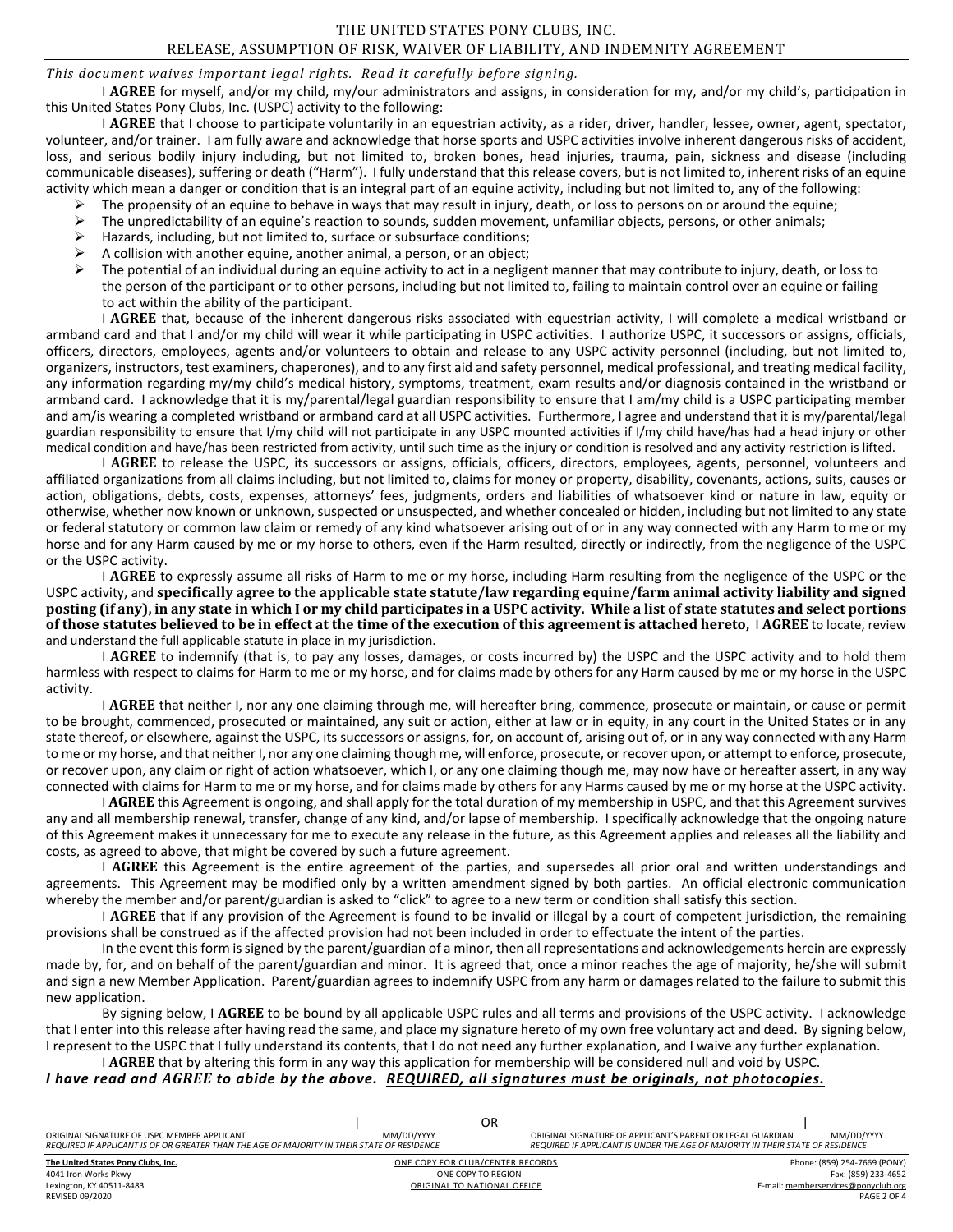## *This document waives important legal rights. Read it carefully before signing.*

I **AGREE** for myself, and/or my child, my/our administrators and assigns, in consideration for my, and/or my child's, participation in this United States Pony Clubs, Inc. (USPC) activity to the following:

I AGREE that I choose to participate voluntarily in an equestrian activity, as a rider, driver, handler, lessee, owner, agent, spectator, volunteer, and/or trainer. I am fully aware and acknowledge that horse sports and USPC activities involve inherent dangerous risks of accident, loss, and serious bodily injury including, but not limited to, broken bones, head injuries, trauma, pain, sickness and disease (including communicable diseases), suffering or death ("Harm"). I fully understand that this release covers, but is not limited to, inherent risks of an equine activity which mean a danger or condition that is an integral part of an equine activity, including but not limited to, any of the following:

- 
- The propensity of an equine to behave in ways that may result in injury, death, or loss to persons on or around the equine;<br>
Figure 1 and results of an equine's reaction to sounds, sudden movement, unfamiliar objects, per The unpredictability of an equine's reaction to sounds, sudden movement, unfamiliar objects, persons, or other animals;
- $\triangleright$  Hazards, including, but not limited to, surface or subsurface conditions;
- A collision with another equine, another animal, a person, or an object;<br>  $\triangleright$  The notential of an individual during an equine activity to act in a neglige
- The potential of an individual during an equine activity to act in a negligent manner that may contribute to injury, death, or loss to the person of the participant or to other persons, including but not limited to, failing to maintain control over an equine or failing to act within the ability of the participant.

I **AGREE** that, because of the inherent dangerous risks associated with equestrian activity, I will complete a medical wristband or armband card and that I and/or my child will wear it while participating in USPC activities. I authorize USPC, it successors or assigns, officials, officers, directors, employees, agents and/or volunteers to obtain and release to any USPC activity personnel (including, but not limited to, organizers, instructors, test examiners, chaperones), and to any first aid and safety personnel, medical professional, and treating medical facility, any information regarding my/my child's medical history, symptoms, treatment, exam results and/or diagnosis contained in the wristband or armband card. I acknowledge that it is my/parental/legal guardian responsibility to ensure that I am/my child is a USPC participating member and am/is wearing a completed wristband or armband card at all USPC activities. Furthermore, I agree and understand that it is my/parental/legal guardian responsibility to ensure that I/my child will not participate in any USPC mounted activities if I/my child have/has had a head injury or other medical condition and have/has been restricted from activity, until such time as the injury or condition is resolved and any activity restriction is lifted.

I **AGREE** to release the USPC, its successors or assigns, officials, officers, directors, employees, agents, personnel, volunteers and affiliated organizations from all claims including, but not limited to, claims for money or property, disability, covenants, actions, suits, causes or action, obligations, debts, costs, expenses, attorneys' fees, judgments, orders and liabilities of whatsoever kind or nature in law, equity or otherwise, whether now known or unknown, suspected or unsuspected, and whether concealed or hidden, including but not limited to any state or federal statutory or common law claim or remedy of any kind whatsoever arising out of or in any way connected with any Harm to me or my horse and for any Harm caused by me or my horse to others, even if the Harm resulted, directly or indirectly, from the negligence of the USPC or the USPC activity.

I **AGREE** to expressly assume all risks of Harm to me or my horse, including Harm resulting from the negligence of the USPC or the USPC activity, and **specifically agree to the applicable state statute/law regarding equine/farm animal activity liability and signed posting (if any), in any state in which I or my child participates in a USPC activity. While a list of state statutes and select portions of those statutes believed to be in effect at the time of the execution of this agreement is attached hereto,** I **AGREE** to locate, review and understand the full applicable statute in place in my jurisdiction.

I **AGREE** to indemnify (that is, to pay any losses, damages, or costs incurred by) the USPC and the USPC activity and to hold them harmless with respect to claims for Harm to me or my horse, and for claims made by others for any Harm caused by me or my horse in the USPC activity.

I **AGREE** that neither I, nor any one claiming through me, will hereafter bring, commence, prosecute or maintain, or cause or permit to be brought, commenced, prosecuted or maintained, any suit or action, either at law or in equity, in any court in the United States or in any state thereof, or elsewhere, against the USPC, its successors or assigns, for, on account of, arising out of, or in any way connected with any Harm to me or my horse, and that neither I, nor any one claiming though me, will enforce, prosecute, or recover upon, or attempt to enforce, prosecute, or recover upon, any claim or right of action whatsoever, which I, or any one claiming though me, may now have or hereafter assert, in any way connected with claims for Harm to me or my horse, and for claims made by others for any Harms caused by me or my horse at the USPC activity.

I **AGREE** this Agreement is ongoing, and shall apply for the total duration of my membership in USPC, and that this Agreement survives any and all membership renewal, transfer, change of any kind, and/or lapse of membership. I specifically acknowledge that the ongoing nature of this Agreement makes it unnecessary for me to execute any release in the future, as this Agreement applies and releases all the liability and costs, as agreed to above, that might be covered by such a future agreement.

I **AGREE** this Agreement is the entire agreement of the parties, and supersedes all prior oral and written understandings and agreements. This Agreement may be modified only by a written amendment signed by both parties. An official electronic communication whereby the member and/or parent/guardian is asked to "click" to agree to a new term or condition shall satisfy this section.

I **AGREE** that if any provision of the Agreement is found to be invalid or illegal by a court of competent jurisdiction, the remaining provisions shall be construed as if the affected provision had not been included in order to effectuate the intent of the parties.

In the event this form is signed by the parent/guardian of a minor, then all representations and acknowledgements herein are expressly made by, for, and on behalf of the parent/guardian and minor. It is agreed that, once a minor reaches the age of majority, he/she will submit and sign a new Member Application. Parent/guardian agrees to indemnify USPC from any harm or damages related to the failure to submit this new application.

By signing below, I **AGREE** to be bound by all applicable USPC rules and all terms and provisions of the USPC activity. I acknowledge that I enter into this release after having read the same, and place my signature hereto of my own free voluntary act and deed. By signing below, I represent to the USPC that I fully understand its contents, that I do not need any further explanation, and I waive any further explanation.

I **AGREE** that by altering this form in any way this application for membership will be considered null and void by USPC. *I have read and AGREE to abide by the above. REQUIRED, all signatures must be originals, not photocopies.*

#### **[The United States Pony Clubs, Inc.](http://www.ponyclub.org/)** ONE COPY FOR CLUB/CENTER RECORDS Phone: (859) 254-7669 (PONY) 4041 Iron Works Pkwy ONE COPY TO REGION Fax: (859) 233-4652 Lexington, KY 40511-8483 **CRIGINAL TO NATIONAL OFFICE**<br>REVISED 09/2020 **DRIGINAL ACCESS** CRIGINAL TO NATIONAL OFFICE **CRIGINAL OF E-mail: <u>memberservices@pony</u>club.org**<br>PAGE 2 OF 4 REVISED 09/2020 PAGE 2 OF 4 | OR | ORIGINAL SIGNATURE OF USPC MEMBER APPLICANT MM/DD/YYYY MELAL TORIGINAL SIGNATURE OF APPLICANT'S PARENT OR LEGAL GUARDIAN MM/DD/YYYY<br>REQUIRED IF APPLICANT IS OF OR GREATER THAN THE AGE OF MAJORITY IN THEIR STATE OF RESIDENC *REQUIRED IF APPLICANT IS OF OR GREATER THAN THE AGE OF MAJORITY IN THEIR STATE OF RESIDENCE REQUIRED IF APPLICANT IS UNDER THE AGE OF MAJORITY IN THEIR STATE OF RESIDENCE*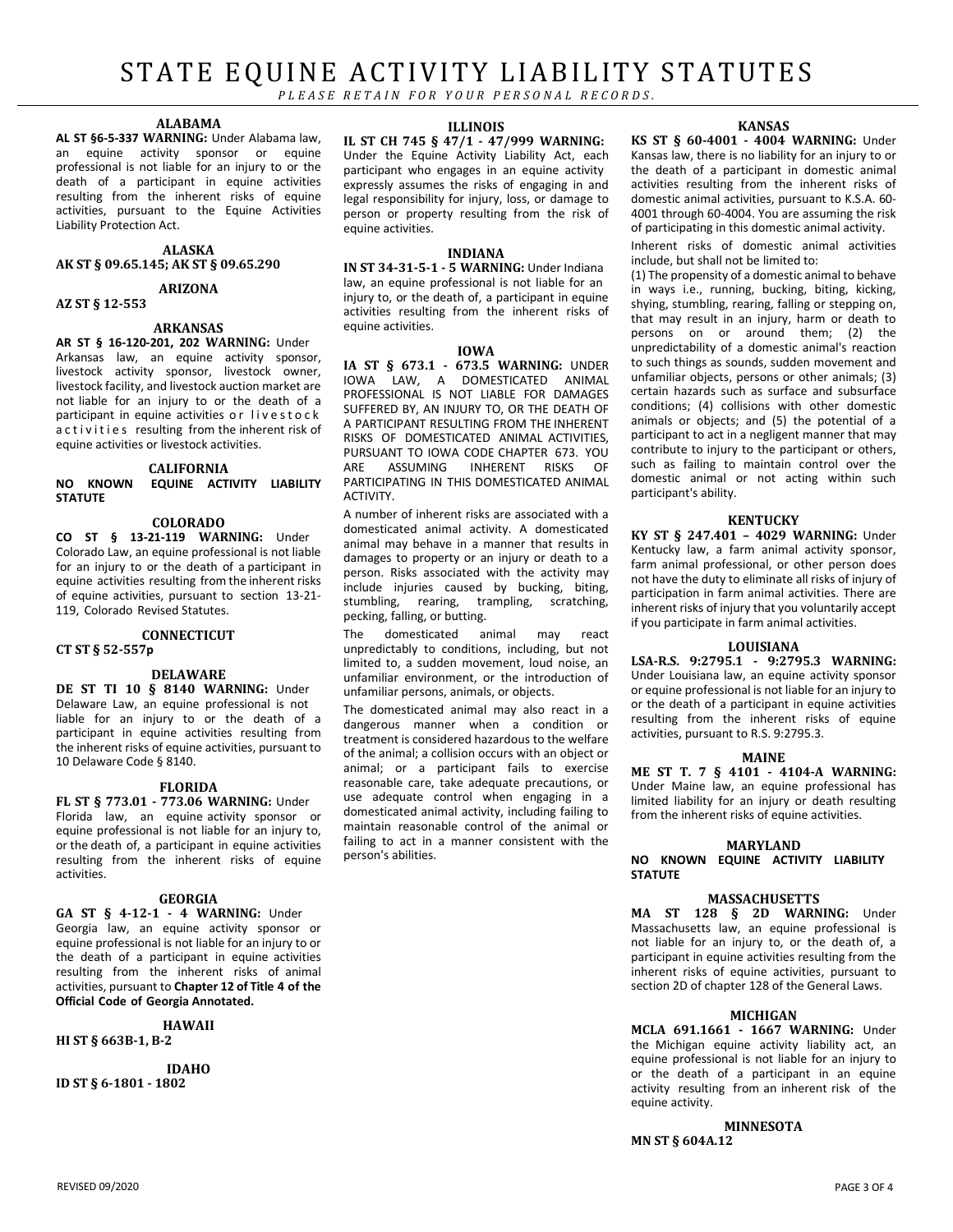## STATE EQUINE ACTIVITY LIABILITY STATUTES

PLEASE RETAIN FOR YOUR PERSONAL RECORDS.

## **ALABAMA**

**AL ST §6-5-337 WARNING:** Under Alabama law, an equine activity sponsor or equine professional is not liable for an injury to or the death of a participant in equine activities resulting from the inherent risks of equine activities, pursuant to the Equine Activities Liability Protection Act.

## **ALASKA**

**AK ST § 09.65.145; AK ST § 09.65.290**

**ARIZONA**

#### **AZ ST § 12-553**

## **ARKANSAS**

**AR ST § 16-120-201, 202 WARNING:** Under Arkansas law, an equine activity sponsor, livestock activity sponsor, livestock owner, livestock facility, and livestock auction market are not liable for an injury to or the death of a participant in equine activities or livestock activities resulting from the inherent risk of equine activities or livestock activities.

#### **CALIFORNIA NO KNOWN EQUINE ACTIVITY LIABILITY STATUTE**

## **COLORADO**

**CO ST § 13-21-119 WARNING:** Under Colorado Law, an equine professional is not liable for an injury to or the death of a participant in equine activities resulting from the inherent risks of equine activities, pursuant to section 13-21- 119, Colorado Revised Statutes.

## **CONNECTICUT**

#### **CT ST § 52-557p**

## **DELAWARE**

**DE ST TI 10 § 8140 WARNING:** Under Delaware Law, an equine professional is not liable for an injury to or the death of a participant in equine activities resulting from the inherent risks of equine activities, pursuant to 10 Delaware Code § 8140.

#### **FLORIDA**

**FL ST § 773.01 - 773.06 WARNING:** Under Florida law, an equine activity sponsor or equine professional is not liable for an injury to, or the death of, a participant in equine activities resulting from the inherent risks of equine activities.

#### **GEORGIA**

**GA ST § 4-12-1 - 4 WARNING:** Under Georgia law, an equine activity sponsor or equine professional is not liable for an injury to or the death of a participant in equine activities resulting from the inherent risks of animal activities, pursuant to **Chapter 12 of Title 4 of the Official Code of Georgia Annotated.**

#### **HAWAII**

## **HI ST § 663B-1, B-2**

**IDAHO ID ST § 6-1801 - 1802**

#### **ILLINOIS**

**IL ST CH 745 § 47/1 - 47/999 WARNING:** Under the Equine Activity Liability Act, each participant who engages in an equine activity expressly assumes the risks of engaging in and legal responsibility for injury, loss, or damage to person or property resulting from the risk of equine activities.

#### **INDIANA**

**IN ST 34-31-5-1 - 5 WARNING:** Under Indiana law, an equine professional is not liable for an injury to, or the death of, a participant in equine activities resulting from the inherent risks of equine activities.

#### **IOWA**

**IA ST § 673.1 - 673.5 WARNING:** UNDER IOWA LAW, A DOMESTICATED ANIMAL PROFESSIONAL IS NOT LIABLE FOR DAMAGES SUFFERED BY, AN INJURY TO, OR THE DEATH OF A PARTICIPANT RESULTING FROM THE INHERENT RISKS OF DOMESTICATED ANIMAL ACTIVITIES, **PURSUANT TO IOWA CODE CHAPTER 673. YOU**<br>ARE ASSUMING INHERENT RISKS OF ASSUMING INHERENT RISKS OF PARTICIPATING IN THIS DOMESTICATED ANIMAL ACTIVITY.

A number of inherent risks are associated with a domesticated animal activity. A domesticated animal may behave in a manner that results in damages to property or an injury or death to a person. Risks associated with the activity may include injuries caused by bucking, biting, stumbling, rearing, trampling, scratching, pecking, falling, or butting.

The domesticated animal may react unpredictably to conditions, including, but not limited to, a sudden movement, loud noise, an unfamiliar environment, or the introduction of unfamiliar persons, animals, or objects.

The domesticated animal may also react in a dangerous manner when a condition or treatment is considered hazardous to the welfare of the animal; a collision occurs with an object or animal; or a participant fails to exercise reasonable care, take adequate precautions, or use adequate control when engaging in a domesticated animal activity, including failing to maintain reasonable control of the animal or failing to act in a manner consistent with the person's abilities.

#### **KANSAS**

**KS ST § 60-4001 - 4004 WARNING:** Under Kansas law, there is no liability for an injury to or the death of a participant in domestic animal activities resulting from the inherent risks of domestic animal activities, pursuant to K.S.A. 60- 4001 through 60-4004. You are assuming the risk of participating in this domestic animal activity.

Inherent risks of domestic animal activities include, but shall not be limited to:

(1) The propensity of a domestic animal to behave in ways i.e., running, bucking, biting, kicking, shying, stumbling, rearing, falling or stepping on, that may result in an injury, harm or death to persons on or around them; (2) the unpredictability of a domestic animal's reaction to such things as sounds, sudden movement and unfamiliar objects, persons or other animals; (3) certain hazards such as surface and subsurface conditions; (4) collisions with other domestic animals or objects; and (5) the potential of a participant to act in a negligent manner that may contribute to injury to the participant or others, such as failing to maintain control over the domestic animal or not acting within such participant's ability.

#### **KENTUCKY**

**KY ST § 247.401 – 4029 WARNING:** Under Kentucky law, a farm animal activity sponsor, farm animal professional, or other person does not have the duty to eliminate all risks of injury of participation in farm animal activities. There are inherent risks of injury that you voluntarily accept if you participate in farm animal activities.

#### **LOUISIANA**

**LSA-R.S. 9:2795.1 - 9:2795.3 WARNING:** Under Louisiana law, an equine activity sponsor or equine professional is not liable for an injury to or the death of a participant in equine activities resulting from the inherent risks of equine activities, pursuant to R.S. 9:2795.3.

#### **MAINE**

**ME ST T. 7 § 4101 - 4104-A WARNING:** Under Maine law, an equine professional has limited liability for an injury or death resulting from the inherent risks of equine activities.

#### **MARYLAND**

**NO KNOWN EQUINE ACTIVITY LIABILITY STATUTE**

#### **MASSACHUSETTS**

**MA ST 128 § 2D WARNING:** Under Massachusetts law, an equine professional is not liable for an injury to, or the death of, a participant in equine activities resulting from the inherent risks of equine activities, pursuant to section 2D of chapter 128 of the General Laws.

#### **MICHIGAN**

**MCLA 691.1661 - 1667 WARNING:** Under the Michigan equine activity liability act, an equine professional is not liable for an injury to or the death of a participant in an equine activity resulting from an inherent risk of the equine activity.

**MINNESOTA**

**MN ST § 604A.12**